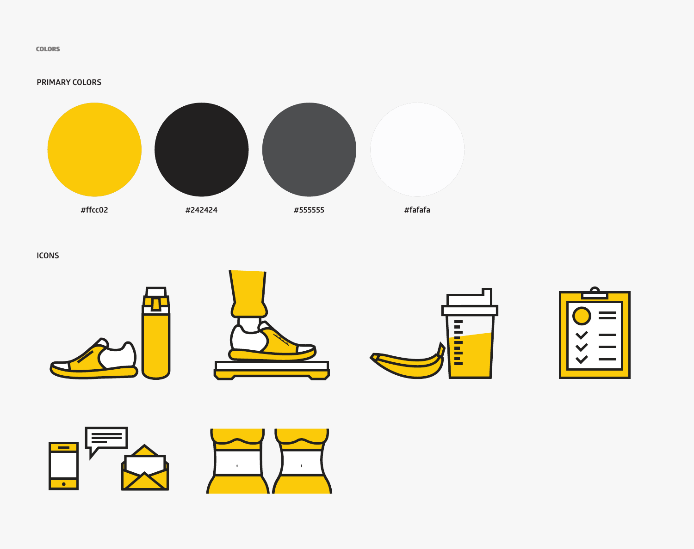COLORS

### **PRIMARY COLORS**



**ICONS**











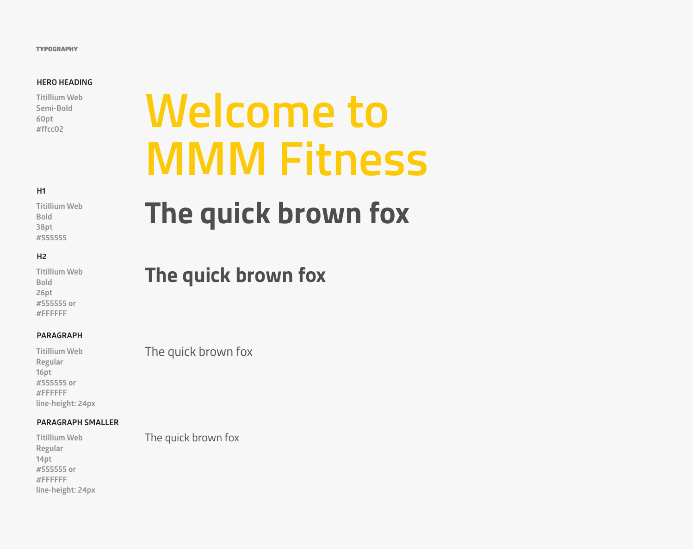#### **TYPOGRAPHY**

### **HERO HEADING**

**Titillium Web Semi-Bold 60pt**

### **H1**

**Titillium Web Bold 38pt #555555**

### **H2**

**Titillium Web Bold 26pt #555555 or #FFFFFF**

### **PARAGRAPH**

**Titillium Web Regular 16pt #555555 or #FFFFFF line-height: 24px**

### **PARAGRAPH SMALLER**

**Titillium Web Regular 14pt #555555 or #FFFFFF line-height: 24px**

# Fitillium Web<br>Semi-Bold<br>#ffcc02 **MMM Fitness**

## **The quick brown fox**

### **The quick brown fox**

The quick brown fox

The quick brown fox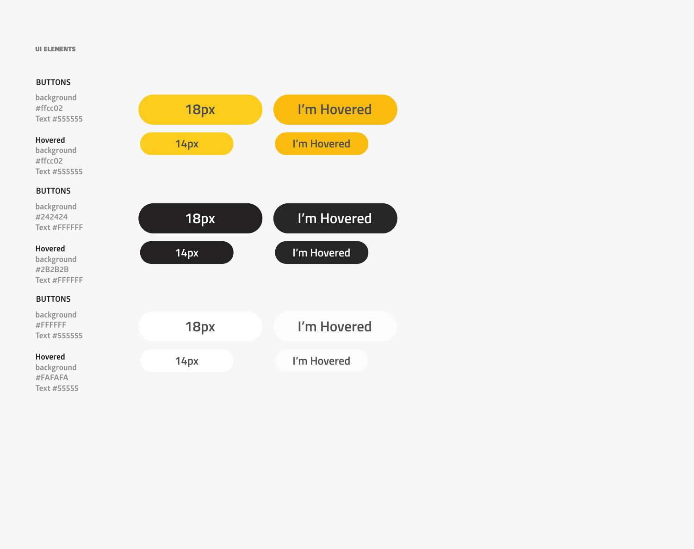### UI ELEMENTS

### **BUTTONS**

**background #ffcc02 Text #555555**



**background #ffcc02 Text #555555**

### **BUTTONS**

**background #242424 Text #FFFFFF**



**background #2B2B2B Text #FFFFFF**

### **BUTTONS**

**background #FFFFFF Text #555555**

### **Hovered**

**background #FAFAFA Text #55555**

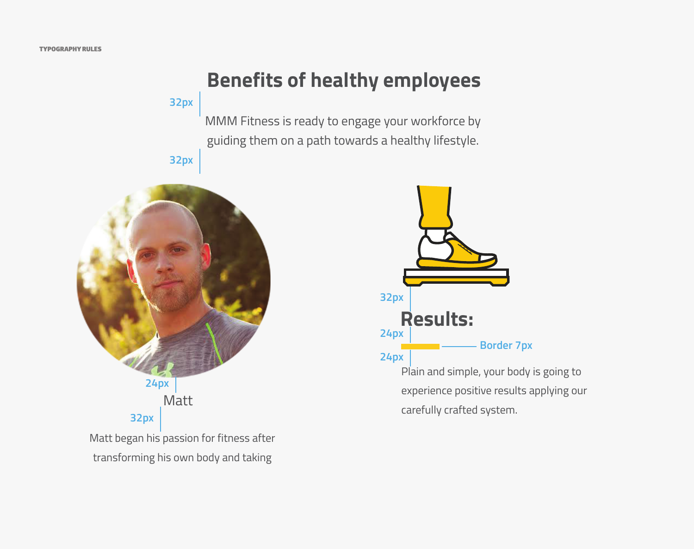### **Benefits of healthy employees**

**32px**

MMM Fitness is ready to engage your workforce by guiding them on a path towards a healthy lifestyle.

**32px**





experience positive results applying our